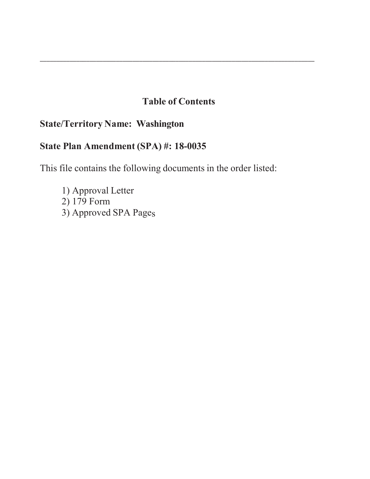# **Table of Contents**

\_\_\_\_\_\_\_\_\_\_\_\_\_\_\_\_\_\_\_\_\_\_\_\_\_\_\_\_\_\_\_\_\_\_\_\_\_\_\_\_\_\_\_\_\_\_\_\_\_\_\_\_\_\_\_\_\_\_\_\_\_\_\_\_\_\_\_\_\_\_\_\_\_\_\_\_\_\_\_\_\_\_\_

# **State/Territory Name: Washington**

# **State Plan Amendment (SPA) #: 18-0035**

This file contains the following documents in the order listed:

1) Approval Letter 2) 179 Form 3) Approved SPA Pages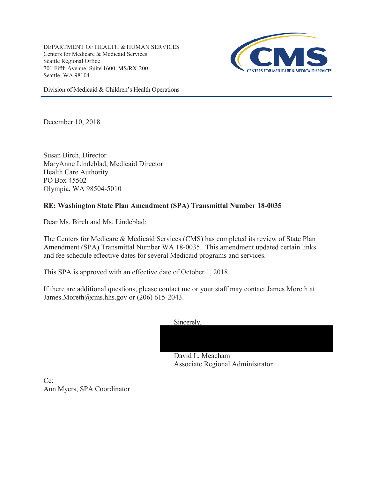DEPARTMENT OF HEALTH & HUMAN SERVICES Centers for Medicare & Medicaid Services Seattle Regional Office 701 Fifth Avenue, Suite 1600, MS/RX-200 Seattle, WA 98104



Division of Medicaid & Children's Health Operations

December 10, 2018

Susan Birch, Director MaryAnne Lindeblad, Medicaid Director Health Care Authority PO Box 45502 Olympia, WA 98504-5010

# **RE: Washington State Plan Amendment (SPA) Transmittal Number 18-0035**

Dear Ms. Birch and Ms. Lindeblad:

The Centers for Medicare & Medicaid Services (CMS) has completed its review of State Plan Amendment (SPA) Transmittal Number WA 18-0035. This amendment updated certain links and fee schedule effective dates for several Medicaid programs and services.

This SPA is approved with an effective date of October 1, 2018.

If there are additional questions, please contact me or your staff may contact James Moreth at James.Moreth@cms.hhs.gov or (206) 615-2043.

Sincerely,



Associate Regional Administrator

 $Ce^+$ Ann Myers, SPA Coordinator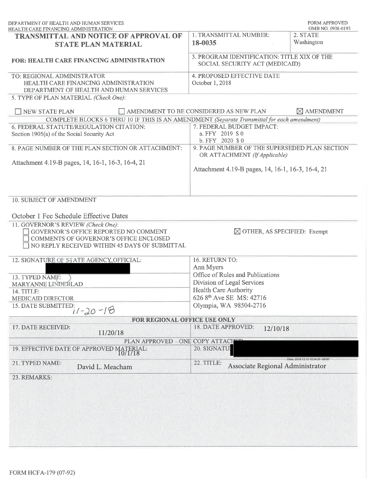| DEPARTMENT OF HEALTH AND HUMAN SERVICES<br>HEALTH CARE FINANCING ADMINISTRATION                                                                                                             |                                                                                                                                     | <b>FORM APPROVED</b><br>OMB NO. 0938-0193 |
|---------------------------------------------------------------------------------------------------------------------------------------------------------------------------------------------|-------------------------------------------------------------------------------------------------------------------------------------|-------------------------------------------|
| <b>TRANSMITTAL AND NOTICE OF APPROVAL OF</b><br><b>STATE PLAN MATERIAL</b>                                                                                                                  | 1. TRANSMITTAL NUMBER:<br>18-0035                                                                                                   | 2. STATE<br>Washington                    |
| <b>FOR: HEALTH CARE FINANCING ADMINISTRATION</b>                                                                                                                                            | 3. PROGRAM IDENTIFICATION: TITLE XIX OF THE<br>SOCIAL SECURITY ACT (MEDICAID)                                                       |                                           |
| TO: REGIONAL ADMINISTRATOR<br>HEALTH CARE FINANCING ADMINISTRATION<br>DEPARTMENT OF HEALTH AND HUMAN SERVICES<br>5. TYPE OF PLAN MATERIAL (Check One):                                      | 4. PROPOSED EFFECTIVE DATE<br>October 1, 2018                                                                                       |                                           |
| TNEW STATE PLAN                                                                                                                                                                             | AMENDMENT TO BE CONSIDERED AS NEW PLAN                                                                                              | $\boxtimes$ AMENDMENT                     |
| COMPLETE BLOCKS 6 THRU 10 IF THIS IS AN AMENDMENT (Separate Transmittal for each amendment)                                                                                                 |                                                                                                                                     |                                           |
| 6. FEDERAL STATUTE/REGULATION CITATION:<br>Section 1905(a) of the Social Security Act                                                                                                       | 7. FEDERAL BUDGET IMPACT:<br>a. FFY 2019 \$0<br>b. FFY 2020 \$ 0                                                                    |                                           |
| 8. PAGE NUMBER OF THE PLAN SECTION OR ATTACHMENT:                                                                                                                                           | 9. PAGE NUMBER OF THE SUPERSEDED PLAN SECTION<br>OR ATTACHMENT (If Applicable)<br>Attachment 4.19-B pages, 14, 16-1, 16-3, 16-4, 21 |                                           |
| Attachment 4.19-B pages, 14, 16-1, 16-3, 16-4, 21                                                                                                                                           |                                                                                                                                     |                                           |
| 10. SUBJECT OF AMENDMENT<br>October 1 Fee Schedule Effective Dates<br>11. GOVERNOR'S REVIEW (Check One):<br>GOVERNOR'S OFFICE REPORTED NO COMMENT<br>COMMENTS OF GOVERNOR'S OFFICE ENCLOSED | $\boxtimes$ OTHER, AS SPECIFIED: Exempt                                                                                             |                                           |
| NO REPLY RECEIVED WITHIN 45 DAYS OF SUBMITTAL                                                                                                                                               |                                                                                                                                     |                                           |
| 12. SIGNATURE OF STATE AGENCY OFFICIAL:                                                                                                                                                     | 16. RETURN TO:                                                                                                                      |                                           |
|                                                                                                                                                                                             | Ann Myers<br>Office of Rules and Publications                                                                                       |                                           |
| 13. TYPED NAME:<br>MARYANNE LINDEBLAD                                                                                                                                                       | Division of Legal Services                                                                                                          |                                           |
| 14. TITLE:                                                                                                                                                                                  | <b>Health Care Authority</b>                                                                                                        |                                           |
| <b>MEDICAID DIRECTOR</b>                                                                                                                                                                    | 626 8 <sup>th</sup> Ave SE MS: 42716                                                                                                |                                           |
| 15. DATE SUBMITTED:<br>$11 - 20 - 18$                                                                                                                                                       | Olympia, WA 98504-2716                                                                                                              |                                           |
| FOR REGIONAL OFFICE USE ONLY                                                                                                                                                                |                                                                                                                                     |                                           |
| 17. DATE RECEIVED:<br>11/20/18                                                                                                                                                              | 18. DATE APPROVED:<br>12/10/18                                                                                                      |                                           |
| PLAN APPROVED                                                                                                                                                                               | ONE COPY ATTACHED                                                                                                                   |                                           |
| 19. EFFECTIVE DATE OF APPROVED MATERIAL: $10/1/18$                                                                                                                                          | 20. SIGNATU                                                                                                                         |                                           |
|                                                                                                                                                                                             | 22. TITLE:<br>Associate Regional Administrator                                                                                      | Date: 2018.12.12 10:34:29 -08'00'         |
| 21. TYPED NAME:<br>David L. Meacham                                                                                                                                                         |                                                                                                                                     |                                           |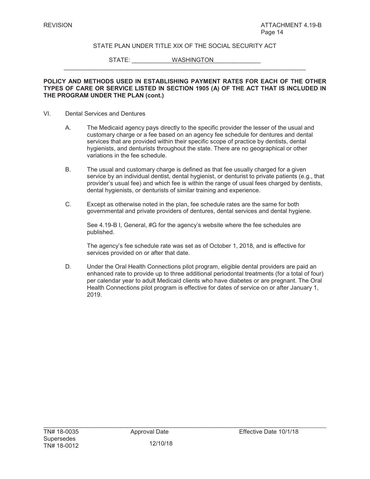STATE: WASHINGTON

#### **POLICY AND METHODS USED IN ESTABLISHING PAYMENT RATES FOR EACH OF THE OTHER TYPES OF CARE OR SERVICE LISTED IN SECTION 1905 (A) OF THE ACT THAT IS INCLUDED IN THE PROGRAM UNDER THE PLAN (cont.)**

 $\_$  , and the set of the set of the set of the set of the set of the set of the set of the set of the set of the set of the set of the set of the set of the set of the set of the set of the set of the set of the set of th

#### VI. Dental Services and Dentures

- A. The Medicaid agency pays directly to the specific provider the lesser of the usual and customary charge or a fee based on an agency fee schedule for dentures and dental services that are provided within their specific scope of practice by dentists, dental hygienists, and denturists throughout the state. There are no geographical or other variations in the fee schedule.
- B. The usual and customary charge is defined as that fee usually charged for a given service by an individual dentist, dental hygienist, or denturist to private patients (e.g., that provider's usual fee) and which fee is within the range of usual fees charged by dentists, dental hygienists, or denturists of similar training and experience.
- C. Except as otherwise noted in the plan, fee schedule rates are the same for both governmental and private providers of dentures, dental services and dental hygiene.

See 4.19-B I, General, #G for the agency's website where the fee schedules are published.

The agency's fee schedule rate was set as of October 1, 2018, and is effective for services provided on or after that date.

D. Under the Oral Health Connections pilot program, eligible dental providers are paid an enhanced rate to provide up to three additional periodontal treatments (for a total of four) per calendar year to adult Medicaid clients who have diabetes or are pregnant. The Oral Health Connections pilot program is effective for dates of service on or after January 1, 2019.

12/10/18

 $\mathcal{L}_\text{max} = \mathcal{L}_\text{max} = \mathcal{L}_\text{max} = \mathcal{L}_\text{max} = \mathcal{L}_\text{max} = \mathcal{L}_\text{max} = \mathcal{L}_\text{max} = \mathcal{L}_\text{max} = \mathcal{L}_\text{max} = \mathcal{L}_\text{max} = \mathcal{L}_\text{max} = \mathcal{L}_\text{max} = \mathcal{L}_\text{max} = \mathcal{L}_\text{max} = \mathcal{L}_\text{max} = \mathcal{L}_\text{max} = \mathcal{L}_\text{max} = \mathcal{L}_\text{max} = \mathcal{$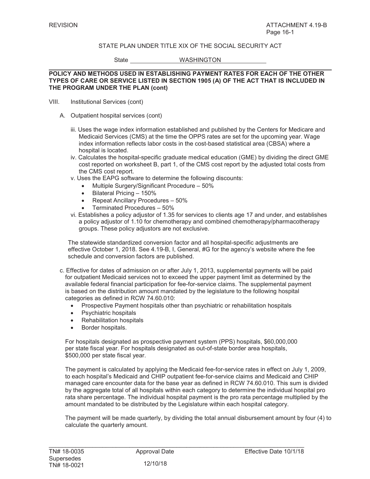State WASHINGTON

#### **POLICY AND METHODS USED IN ESTABLISHING PAYMENT RATES FOR EACH OF THE OTHER TYPES OF CARE OR SERVICE LISTED IN SECTION 1905 (A) OF THE ACT THAT IS INCLUDED IN THE PROGRAM UNDER THE PLAN (cont)**

- VIII. Institutional Services (cont)
	- A. Outpatient hospital services (cont)
		- iii. Uses the wage index information established and published by the Centers for Medicare and Medicaid Services (CMS) at the time the OPPS rates are set for the upcoming year. Wage index information reflects labor costs in the cost-based statistical area (CBSA) where a hospital is located.
		- iv. Calculates the hospital-specific graduate medical education (GME) by dividing the direct GME cost reported on worksheet B, part 1, of the CMS cost report by the adjusted total costs from the CMS cost report.
		- v. Uses the EAPG software to determine the following discounts:
			- Multiple Surgery/Significant Procedure 50%
			- $\bullet$  Bilateral Pricing 150%
			- $\bullet$  Repeat Ancillary Procedures 50%
			- Terminated Procedures 50%
		- vi. Establishes a policy adjustor of 1.35 for services to clients age 17 and under, and establishes a policy adjustor of 1.10 for chemotherapy and combined chemotherapy/pharmacotherapy groups. These policy adjustors are not exclusive.

The statewide standardized conversion factor and all hospital-specific adjustments are effective October 1, 2018. See 4.19-B, I, General, #G for the agency's website where the fee schedule and conversion factors are published.

- c. Effective for dates of admission on or after July 1, 2013, supplemental payments will be paid for outpatient Medicaid services not to exceed the upper payment limit as determined by the available federal financial participation for fee-for-service claims. The supplemental payment is based on the distribution amount mandated by the legislature to the following hospital categories as defined in RCW 74.60.010:
	- Prospective Payment hospitals other than psychiatric or rehabilitation hospitals
	- Psychiatric hospitals
	- **Rehabilitation hospitals**
	- Border hospitals.

For hospitals designated as prospective payment system (PPS) hospitals, \$60,000,000 per state fiscal year. For hospitals designated as out-of-state border area hospitals, \$500,000 per state fiscal year.

The payment is calculated by applying the Medicaid fee-for-service rates in effect on July 1, 2009, to each hospital's Medicaid and CHIP outpatient fee-for-service claims and Medicaid and CHIP managed care encounter data for the base year as defined in RCW 74.60.010. This sum is divided by the aggregate total of all hospitals within each category to determine the individual hospital pro rata share percentage. The individual hospital payment is the pro rata percentage multiplied by the amount mandated to be distributed by the Legislature within each hospital category.

The payment will be made quarterly, by dividing the total annual disbursement amount by four (4) to calculate the quarterly amount.

 $\mathcal{L}_\text{max}$  , and the set of the set of the set of the set of the set of the set of the set of the set of the set of the set of the set of the set of the set of the set of the set of the set of the set of the set of the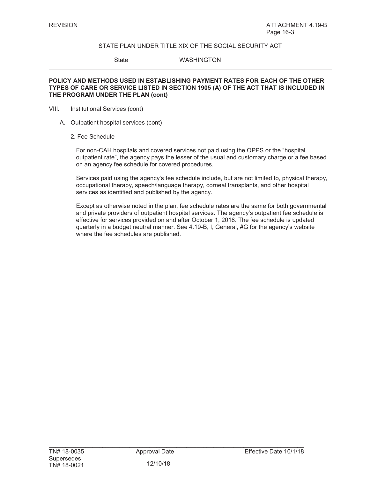State WASHINGTON

#### **POLICY AND METHODS USED IN ESTABLISHING PAYMENT RATES FOR EACH OF THE OTHER TYPES OF CARE OR SERVICE LISTED IN SECTION 1905 (A) OF THE ACT THAT IS INCLUDED IN THE PROGRAM UNDER THE PLAN (cont)**

- VIII. Institutional Services (cont)
	- A. Outpatient hospital services (cont)
		- 2. Fee Schedule

For non-CAH hospitals and covered services not paid using the OPPS or the "hospital outpatient rate", the agency pays the lesser of the usual and customary charge or a fee based on an agency fee schedule for covered procedures*.*

Services paid using the agency's fee schedule include, but are not limited to, physical therapy, occupational therapy, speech/language therapy, corneal transplants, and other hospital services as identified and published by the agency.

Except as otherwise noted in the plan, fee schedule rates are the same for both governmental and private providers of outpatient hospital services. The agency's outpatient fee schedule is effective for services provided on and after October 1, 2018. The fee schedule is updated quarterly in a budget neutral manner. See 4.19-B, I, General, #G for the agency's website where the fee schedules are published.

 $\mathcal{L}_\text{max}$  , and the set of the set of the set of the set of the set of the set of the set of the set of the set of the set of the set of the set of the set of the set of the set of the set of the set of the set of the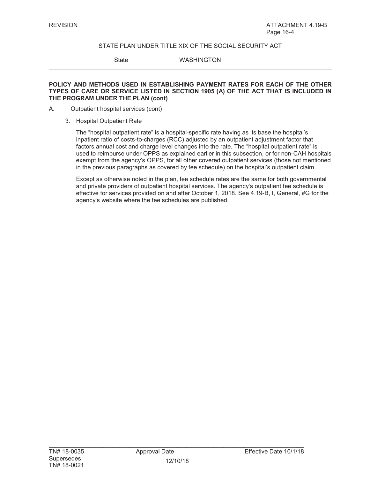State WASHINGTON

#### **POLICY AND METHODS USED IN ESTABLISHING PAYMENT RATES FOR EACH OF THE OTHER TYPES OF CARE OR SERVICE LISTED IN SECTION 1905 (A) OF THE ACT THAT IS INCLUDED IN THE PROGRAM UNDER THE PLAN (cont)**

- A. Outpatient hospital services (cont)
	- 3. Hospital Outpatient Rate

The "hospital outpatient rate" is a hospital-specific rate having as its base the hospital's inpatient ratio of costs-to-charges (RCC) adjusted by an outpatient adjustment factor that factors annual cost and charge level changes into the rate. The "hospital outpatient rate" is used to reimburse under OPPS as explained earlier in this subsection, or for non-CAH hospitals exempt from the agency's OPPS, for all other covered outpatient services (those not mentioned in the previous paragraphs as covered by fee schedule) on the hospital's outpatient claim.

Except as otherwise noted in the plan, fee schedule rates are the same for both governmental and private providers of outpatient hospital services. The agency's outpatient fee schedule is effective for services provided on and after October 1, 2018. See 4.19-B, I, General, #G for the agency's website where the fee schedules are published.